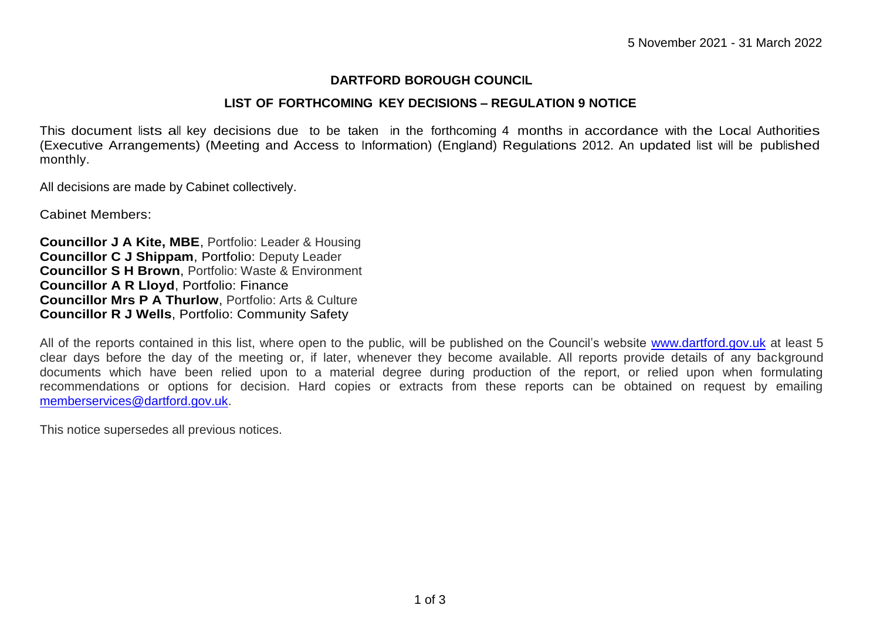## **DARTFORD BOROUGH COUNCIL**

## **LIST OF FORTHCOMING KEY DECISIONS – REGULATION 9 NOTICE**

This document lists all key decisions due to be taken in the forthcoming 4 months in accordance with the Local Authorities (Executive Arrangements) (Meeting and Access to Information) (England) Regulations 2012. An updated list will be published monthly.

All decisions are made by Cabinet collectively.

Cabinet Members:

**Councillor J A Kite, MBE**, Portfolio: Leader & Housing **Councillor C J Shippam**, Portfolio: Deputy Leader **Councillor S H Brown**, Portfolio: Waste & Environment **Councillor A R Lloyd**, Portfolio: Finance **Councillor Mrs P A Thurlow**, Portfolio: Arts & Culture **Councillor R J Wells**, Portfolio: Community Safety

All of the reports contained in this list, where open to the public, will be published on the Council's website [www.dartford.gov.uk](http://www.dartford.gov.uk/) at least 5 clear days before the day of the meeting or, if later, whenever they become available. All reports provide details of any background documents which have been relied upon to a material degree during production of the report, or relied upon when formulating recommendations or options for decision. Hard copies or extracts from these reports can be obtained on request by emailing [memberservices@dartford.gov.uk.](mailto:memberservices@dartford.gov.uk)

This notice supersedes all previous notices.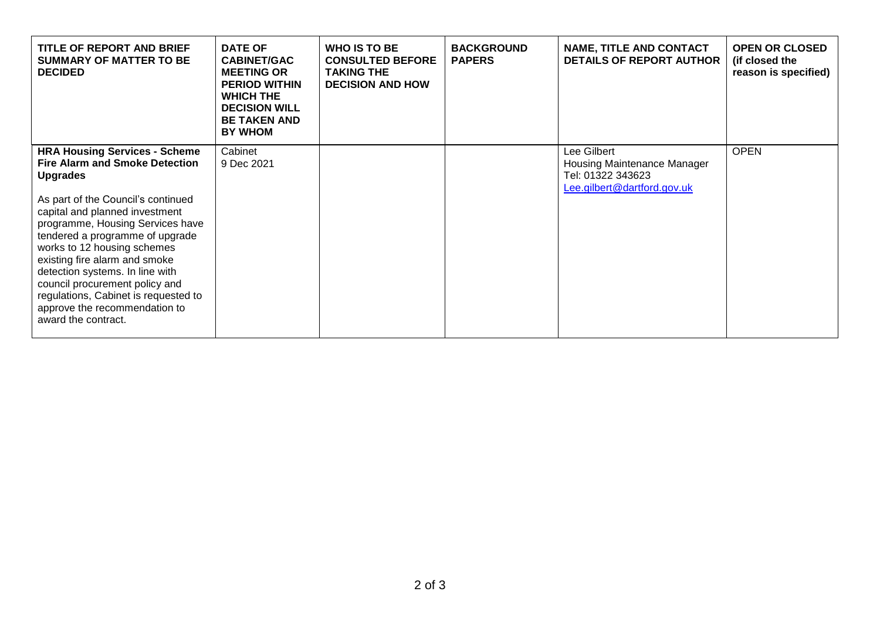| TITLE OF REPORT AND BRIEF<br><b>SUMMARY OF MATTER TO BE</b><br><b>DECIDED</b>                                                                                                                                                                                                                                                                                                                                                                                                        | <b>DATE OF</b><br><b>CABINET/GAC</b><br><b>MEETING OR</b><br><b>PERIOD WITHIN</b><br><b>WHICH THE</b><br><b>DECISION WILL</b><br><b>BE TAKEN AND</b><br><b>BY WHOM</b> | <b>WHO IS TO BE</b><br><b>CONSULTED BEFORE</b><br><b>TAKING THE</b><br><b>DECISION AND HOW</b> | <b>BACKGROUND</b><br><b>PAPERS</b> | <b>NAME, TITLE AND CONTACT</b><br><b>DETAILS OF REPORT AUTHOR</b>                              | <b>OPEN OR CLOSED</b><br>(if closed the<br>reason is specified) |
|--------------------------------------------------------------------------------------------------------------------------------------------------------------------------------------------------------------------------------------------------------------------------------------------------------------------------------------------------------------------------------------------------------------------------------------------------------------------------------------|------------------------------------------------------------------------------------------------------------------------------------------------------------------------|------------------------------------------------------------------------------------------------|------------------------------------|------------------------------------------------------------------------------------------------|-----------------------------------------------------------------|
| <b>HRA Housing Services - Scheme</b><br><b>Fire Alarm and Smoke Detection</b><br><b>Upgrades</b><br>As part of the Council's continued<br>capital and planned investment<br>programme, Housing Services have<br>tendered a programme of upgrade<br>works to 12 housing schemes<br>existing fire alarm and smoke<br>detection systems. In line with<br>council procurement policy and<br>regulations, Cabinet is requested to<br>approve the recommendation to<br>award the contract. | Cabinet<br>9 Dec 2021                                                                                                                                                  |                                                                                                |                                    | Lee Gilbert<br>Housing Maintenance Manager<br>Tel: 01322 343623<br>Lee.gilbert@dartford.gov.uk | <b>OPEN</b>                                                     |